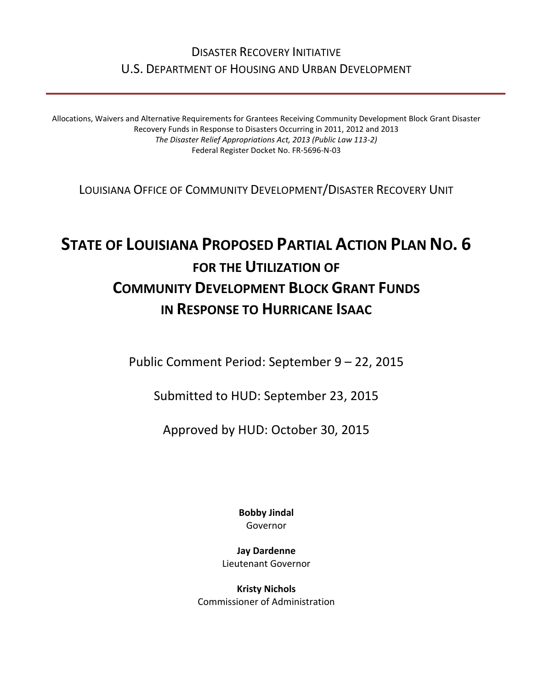# DISASTER RECOVERY INITIATIVE U.S. DEPARTMENT OF HOUSING AND URBAN DEVELOPMENT

Allocations, Waivers and Alternative Requirements for Grantees Receiving Community Development Block Grant Disaster Recovery Funds in Response to Disasters Occurring in 2011, 2012 and 2013 *The Disaster Relief Appropriations Act, 2013 (Public Law 113-2)* Federal Register Docket No. FR-5696-N-03

LOUISIANA OFFICE OF COMMUNITY DEVELOPMENT/DISASTER RECOVERY UNIT

# **STATE OF LOUISIANA PROPOSED PARTIAL ACTION PLAN NO. 6 FOR THE UTILIZATION OF COMMUNITY DEVELOPMENT BLOCK GRANT FUNDS IN RESPONSE TO HURRICANE ISAAC**

Public Comment Period: September 9 – 22, 2015

Submitted to HUD: September 23, 2015

Approved by HUD: October 30, 2015

**Bobby Jindal** Governor

**Jay Dardenne** Lieutenant Governor

**Kristy Nichols** Commissioner of Administration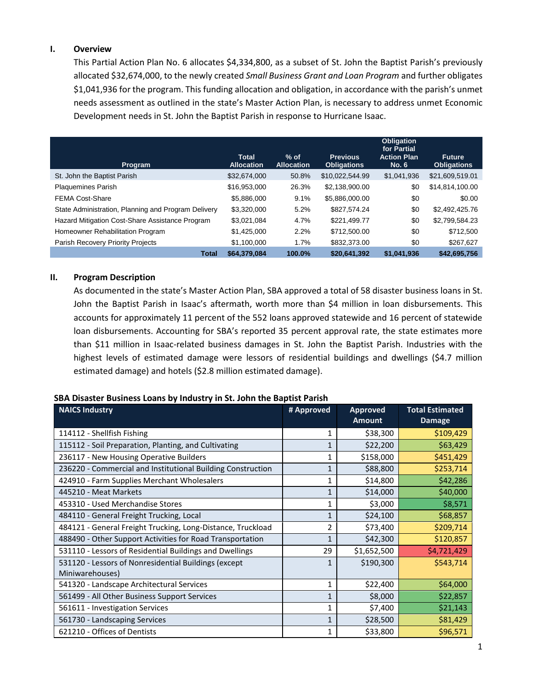#### **I. Overview**

This Partial Action Plan No. 6 allocates \$4,334,800, as a subset of St. John the Baptist Parish's previously allocated \$32,674,000, to the newly created *Small Business Grant and Loan Program* and further obligates \$1,041,936 for the program. This funding allocation and obligation, in accordance with the parish's unmet needs assessment as outlined in the state's Master Action Plan, is necessary to address unmet Economic Development needs in St. John the Baptist Parish in response to Hurricane Isaac.

| Program                                             | <b>Total</b><br><b>Allocation</b> | $%$ of<br><b>Allocation</b> | <b>Previous</b><br><b>Obligations</b> | <b>Obligation</b><br>for Partial<br><b>Action Plan</b><br><b>No. 6</b> | <b>Future</b><br><b>Obligations</b> |
|-----------------------------------------------------|-----------------------------------|-----------------------------|---------------------------------------|------------------------------------------------------------------------|-------------------------------------|
| St. John the Baptist Parish                         | \$32,674,000                      | 50.8%                       | \$10,022,544.99                       | \$1,041,936                                                            | \$21,609,519.01                     |
| <b>Plaquemines Parish</b>                           | \$16,953,000                      | 26.3%                       | \$2,138,900.00                        | \$0                                                                    | \$14,814,100.00                     |
| <b>FEMA Cost-Share</b>                              | \$5,886,000                       | 9.1%                        | \$5,886,000.00                        | \$0                                                                    | \$0.00                              |
| State Administration, Planning and Program Delivery | \$3,320,000                       | 5.2%                        | \$827,574.24                          | \$0                                                                    | \$2,492,425.76                      |
| Hazard Mitigation Cost-Share Assistance Program     | \$3,021,084                       | 4.7%                        | \$221,499.77                          | \$0                                                                    | \$2,799,584.23                      |
| Homeowner Rehabilitation Program                    | \$1,425,000                       | 2.2%                        | \$712,500.00                          | \$0                                                                    | \$712,500                           |
| Parish Recovery Priority Projects                   | \$1,100,000                       | 1.7%                        | \$832,373.00                          | \$0                                                                    | \$267,627                           |
| <b>Total</b>                                        | \$64,379,084                      | 100.0%                      | \$20,641,392                          | \$1,041,936                                                            | \$42,695,756                        |

#### **II. Program Description**

As documented in the state's Master Action Plan, SBA approved a total of 58 disaster business loans in St. John the Baptist Parish in Isaac's aftermath, worth more than \$4 million in loan disbursements. This accounts for approximately 11 percent of the 552 loans approved statewide and 16 percent of statewide loan disbursements. Accounting for SBA's reported 35 percent approval rate, the state estimates more than \$11 million in Isaac-related business damages in St. John the Baptist Parish. Industries with the highest levels of estimated damage were lessors of residential buildings and dwellings (\$4.7 million estimated damage) and hotels (\$2.8 million estimated damage).

#### **SBA Disaster Business Loans by Industry in St. John the Baptist Parish**

| <b>NAICS Industry</b>                                       | # Approved   | <b>Approved</b><br><b>Amount</b> | <b>Total Estimated</b><br><b>Damage</b> |
|-------------------------------------------------------------|--------------|----------------------------------|-----------------------------------------|
| 114112 - Shellfish Fishing                                  | 1            | \$38,300                         | \$109,429                               |
| 115112 - Soil Preparation, Planting, and Cultivating        |              | \$22,200                         | \$63,429                                |
| 236117 - New Housing Operative Builders                     | 1            | \$158,000                        | \$451,429                               |
| 236220 - Commercial and Institutional Building Construction | 1            | \$88,800                         | \$253,714                               |
| 424910 - Farm Supplies Merchant Wholesalers                 | 1            | \$14,800                         | \$42,286                                |
| 445210 - Meat Markets                                       | 1            | \$14,000                         | \$40,000                                |
| 453310 - Used Merchandise Stores                            | 1            | \$3,000                          | \$8,571                                 |
| 484110 - General Freight Trucking, Local                    | 1            | \$24,100                         | \$68,857                                |
| 484121 - General Freight Trucking, Long-Distance, Truckload | 2            | \$73,400                         | \$209,714                               |
| 488490 - Other Support Activities for Road Transportation   | 1            | \$42,300                         | \$120,857                               |
| 531110 - Lessors of Residential Buildings and Dwellings     | 29           | \$1,652,500                      | \$4,721,429                             |
| 531120 - Lessors of Nonresidential Buildings (except        | 1            | \$190,300                        | \$543,714                               |
| Miniwarehouses)                                             | 1            |                                  |                                         |
| 541320 - Landscape Architectural Services                   |              | \$22,400                         | \$64,000                                |
| 561499 - All Other Business Support Services                | 1            | \$8,000                          | \$22,857                                |
| 561611 - Investigation Services                             |              | \$7,400                          | \$21,143                                |
| 561730 - Landscaping Services                               | $\mathbf{1}$ | \$28,500                         | \$81,429                                |
| 621210 - Offices of Dentists                                |              | \$33,800                         | \$96,571                                |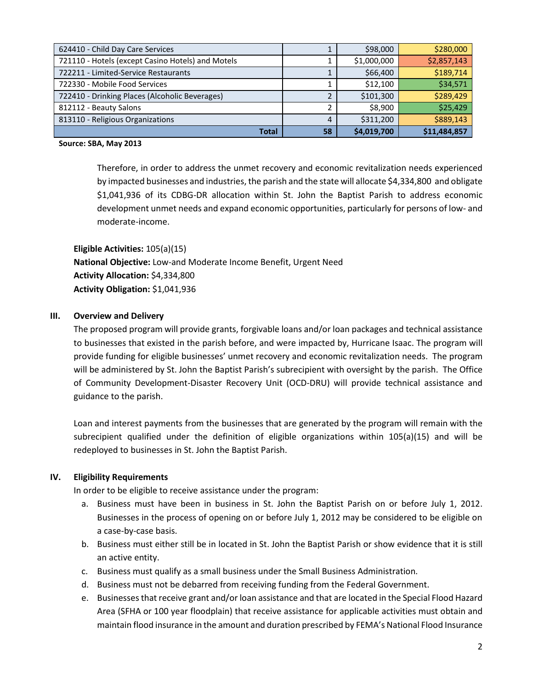| 624410 - Child Day Care Services                  |    | \$98,000    | \$280,000    |
|---------------------------------------------------|----|-------------|--------------|
| 721110 - Hotels (except Casino Hotels) and Motels |    | \$1,000,000 | \$2,857,143  |
| 722211 - Limited-Service Restaurants              |    | \$66,400    | \$189,714    |
| 722330 - Mobile Food Services                     |    | \$12,100    | \$34,571     |
| 722410 - Drinking Places (Alcoholic Beverages)    |    | \$101,300   | \$289,429    |
| 812112 - Beauty Salons                            |    | \$8.900     | \$25,429     |
| 813110 - Religious Organizations                  |    | \$311,200   | \$889,143    |
| Total                                             | 58 | \$4,019,700 | \$11,484,857 |

#### **Source: SBA, May 2013**

Therefore, in order to address the unmet recovery and economic revitalization needs experienced by impacted businesses and industries, the parish and the state will allocate \$4,334,800 and obligate \$1,041,936 of its CDBG-DR allocation within St. John the Baptist Parish to address economic development unmet needs and expand economic opportunities, particularly for persons of low- and moderate-income.

**Eligible Activities:** 105(a)(15)

**National Objective:** Low-and Moderate Income Benefit, Urgent Need **Activity Allocation:** \$4,334,800 **Activity Obligation:** \$1,041,936

# **III. Overview and Delivery**

The proposed program will provide grants, forgivable loans and/or loan packages and technical assistance to businesses that existed in the parish before, and were impacted by, Hurricane Isaac. The program will provide funding for eligible businesses' unmet recovery and economic revitalization needs. The program will be administered by St. John the Baptist Parish's subrecipient with oversight by the parish. The Office of Community Development-Disaster Recovery Unit (OCD-DRU) will provide technical assistance and guidance to the parish.

Loan and interest payments from the businesses that are generated by the program will remain with the subrecipient qualified under the definition of eligible organizations within 105(a)(15) and will be redeployed to businesses in St. John the Baptist Parish.

#### **IV. Eligibility Requirements**

In order to be eligible to receive assistance under the program:

- a. Business must have been in business in St. John the Baptist Parish on or before July 1, 2012. Businesses in the process of opening on or before July 1, 2012 may be considered to be eligible on a case-by-case basis.
- b. Business must either still be in located in St. John the Baptist Parish or show evidence that it is still an active entity.
- c. Business must qualify as a small business under the Small Business Administration.
- d. Business must not be debarred from receiving funding from the Federal Government.
- e. Businesses that receive grant and/or loan assistance and that are located in the Special Flood Hazard Area (SFHA or 100 year floodplain) that receive assistance for applicable activities must obtain and maintain flood insurance in the amount and duration prescribed by FEMA's National Flood Insurance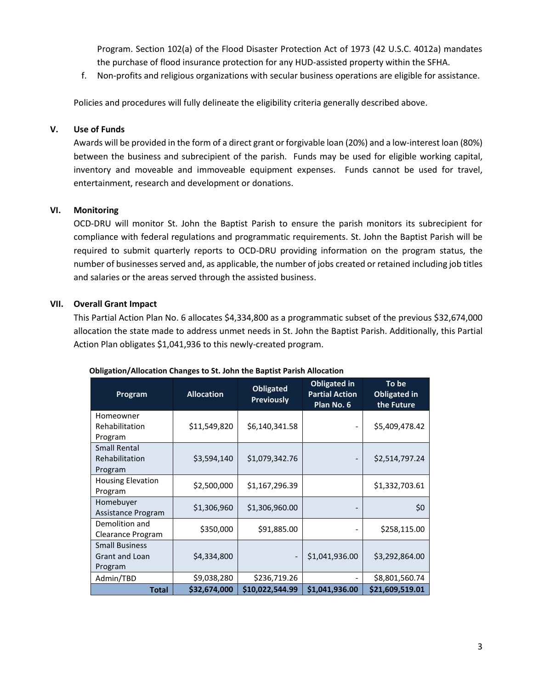Program. Section 102(a) of the Flood Disaster Protection Act of 1973 (42 U.S.C. 4012a) mandates the purchase of flood insurance protection for any HUD-assisted property within the SFHA.

f. Non-profits and religious organizations with secular business operations are eligible for assistance.

Policies and procedures will fully delineate the eligibility criteria generally described above.

#### **V. Use of Funds**

Awards will be provided in the form of a direct grant or forgivable loan (20%) and a low-interest loan (80%) between the business and subrecipient of the parish. Funds may be used for eligible working capital, inventory and moveable and immoveable equipment expenses. Funds cannot be used for travel, entertainment, research and development or donations.

# **VI. Monitoring**

OCD-DRU will monitor St. John the Baptist Parish to ensure the parish monitors its subrecipient for compliance with federal regulations and programmatic requirements. St. John the Baptist Parish will be required to submit quarterly reports to OCD-DRU providing information on the program status, the number of businesses served and, as applicable, the number of jobs created or retained including job titles and salaries or the areas served through the assisted business.

# **VII. Overall Grant Impact**

This Partial Action Plan No. 6 allocates \$4,334,800 as a programmatic subset of the previous \$32,674,000 allocation the state made to address unmet needs in St. John the Baptist Parish. Additionally, this Partial Action Plan obligates \$1,041,936 to this newly-created program.

| Program                        | <b>Allocation</b> | <b>Obligated</b><br><b>Previously</b> | <b>Obligated in</b><br><b>Partial Action</b><br>Plan No. 6 | To be<br><b>Obligated in</b><br>the Future |
|--------------------------------|-------------------|---------------------------------------|------------------------------------------------------------|--------------------------------------------|
| Homeowner<br>Rehabilitation    | \$11,549,820      | \$6,140,341.58                        |                                                            | \$5,409,478.42                             |
| Program                        |                   |                                       |                                                            |                                            |
| Small Rental<br>Rehabilitation | \$3,594,140       | \$1,079,342.76                        |                                                            | \$2,514,797.24                             |
| Program                        |                   |                                       |                                                            |                                            |
| <b>Housing Elevation</b>       | \$2,500,000       | \$1,167,296.39                        |                                                            | \$1,332,703.61                             |
| Program<br>Homebuyer           |                   |                                       |                                                            |                                            |
| Assistance Program             | \$1,306,960       | \$1,306,960.00                        |                                                            | \$0                                        |
| Demolition and                 | \$350,000         | \$91,885.00                           |                                                            | \$258,115.00                               |
| Clearance Program              |                   |                                       |                                                            |                                            |
| <b>Small Business</b>          |                   |                                       |                                                            |                                            |
| <b>Grant and Loan</b>          | \$4,334,800       |                                       | \$1,041,936.00                                             | \$3,292,864.00                             |
| Program                        |                   |                                       |                                                            |                                            |
| Admin/TBD                      | \$9,038,280       | \$236,719.26                          |                                                            | \$8,801,560.74                             |
| <b>Total</b>                   | \$32,674,000      | \$10,022,544.99                       | \$1,041,936.00                                             | \$21,609,519.01                            |

#### **Obligation/Allocation Changes to St. John the Baptist Parish Allocation**